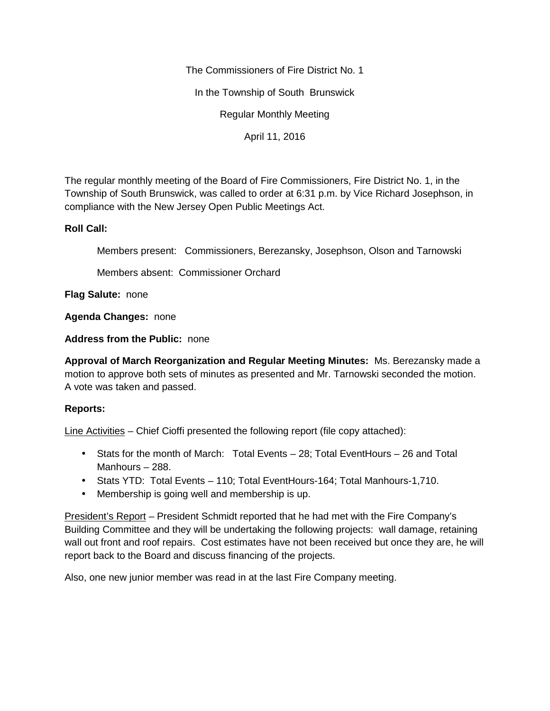The Commissioners of Fire District No. 1

In the Township of South Brunswick

Regular Monthly Meeting

April 11, 2016

The regular monthly meeting of the Board of Fire Commissioners, Fire District No. 1, in the Township of South Brunswick, was called to order at 6:31 p.m. by Vice Richard Josephson, in compliance with the New Jersey Open Public Meetings Act.

## **Roll Call:**

Members present: Commissioners, Berezansky, Josephson, Olson and Tarnowski

Members absent: Commissioner Orchard

**Flag Salute:** none

**Agenda Changes:** none

**Address from the Public:** none

**Approval of March Reorganization and Regular Meeting Minutes:** Ms. Berezansky made a motion to approve both sets of minutes as presented and Mr. Tarnowski seconded the motion. A vote was taken and passed.

## **Reports:**

Line Activities – Chief Cioffi presented the following report (file copy attached):

- Stats for the month of March: Total Events 28; Total EventHours 26 and Total Manhours – 288.
- Stats YTD: Total Events 110; Total EventHours-164; Total Manhours-1,710.
- Membership is going well and membership is up.

President's Report – President Schmidt reported that he had met with the Fire Company's Building Committee and they will be undertaking the following projects: wall damage, retaining wall out front and roof repairs. Cost estimates have not been received but once they are, he will report back to the Board and discuss financing of the projects.

Also, one new junior member was read in at the last Fire Company meeting.